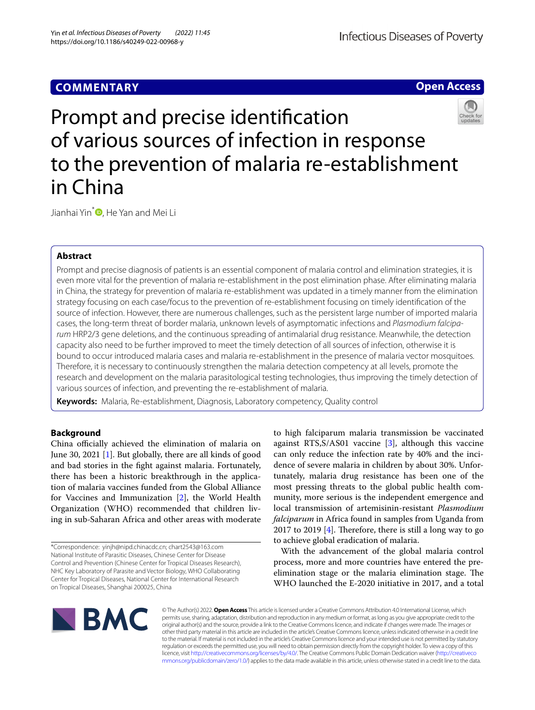# **COMMENTARY**

**Open Access**

# Prompt and precise identifcation of various sources of infection in response to the prevention of malaria re-establishment in China

Jianhai Yin<sup>\*</sup><sup>1</sup>[,](http://orcid.org/0000-0003-1333-8732) He Yan and Mei Li

# **Abstract**

Prompt and precise diagnosis of patients is an essential component of malaria control and elimination strategies, it is even more vital for the prevention of malaria re-establishment in the post elimination phase. After eliminating malaria in China, the strategy for prevention of malaria re-establishment was updated in a timely manner from the elimination strategy focusing on each case/focus to the prevention of re-establishment focusing on timely identifcation of the source of infection. However, there are numerous challenges, such as the persistent large number of imported malaria cases, the long-term threat of border malaria, unknown levels of asymptomatic infections and *Plasmodium falciparum* HRP2/3 gene deletions, and the continuous spreading of antimalarial drug resistance. Meanwhile, the detection capacity also need to be further improved to meet the timely detection of all sources of infection, otherwise it is bound to occur introduced malaria cases and malaria re-establishment in the presence of malaria vector mosquitoes. Therefore, it is necessary to continuously strengthen the malaria detection competency at all levels, promote the research and development on the malaria parasitological testing technologies, thus improving the timely detection of various sources of infection, and preventing the re-establishment of malaria.

**Keywords:** Malaria, Re-establishment, Diagnosis, Laboratory competency, Quality control

# **Background**

China officially achieved the elimination of malaria on June 30, 2021 [\[1](#page-4-0)]. But globally, there are all kinds of good and bad stories in the fght against malaria. Fortunately, there has been a historic breakthrough in the application of malaria vaccines funded from the Global Alliance for Vaccines and Immunization [[2\]](#page-4-1), the World Health Organization (WHO) recommended that children living in sub-Saharan Africa and other areas with moderate

to high falciparum malaria transmission be vaccinated against RTS,  $S/AS01$  vaccine [[3\]](#page-4-2), although this vaccine can only reduce the infection rate by 40% and the incidence of severe malaria in children by about 30%. Unfortunately, malaria drug resistance has been one of the most pressing threats to the global public health community, more serious is the independent emergence and local transmission of artemisinin-resistant *Plasmodium falciparum* in Africa found in samples from Uganda from 2017 to 2019 [[4](#page-4-3)]. Therefore, there is still a long way to go to achieve global eradication of malaria.

With the advancement of the global malaria control process, more and more countries have entered the preelimination stage or the malaria elimination stage. The WHO launched the E-2020 initiative in 2017, and a total



© The Author(s) 2022. **Open Access** This article is licensed under a Creative Commons Attribution 4.0 International License, which permits use, sharing, adaptation, distribution and reproduction in any medium or format, as long as you give appropriate credit to the original author(s) and the source, provide a link to the Creative Commons licence, and indicate if changes were made. The images or other third party material in this article are included in the article's Creative Commons licence, unless indicated otherwise in a credit line to the material. If material is not included in the article's Creative Commons licence and your intended use is not permitted by statutory regulation or exceeds the permitted use, you will need to obtain permission directly from the copyright holder. To view a copy of this licence, visit [http://creativecommons.org/licenses/by/4.0/.](http://creativecommons.org/licenses/by/4.0/) The Creative Commons Public Domain Dedication waiver ([http://creativeco](http://creativecommons.org/publicdomain/zero/1.0/) [mmons.org/publicdomain/zero/1.0/](http://creativecommons.org/publicdomain/zero/1.0/)) applies to the data made available in this article, unless otherwise stated in a credit line to the data.



<sup>\*</sup>Correspondence: yinjh@nipd.chinacdc.cn; chart2543@163.com National Institute of Parasitic Diseases, Chinese Center for Disease Control and Prevention (Chinese Center for Tropical Diseases Research), NHC Key Laboratory of Parasite and Vector Biology, WHO Collaborating Center for Tropical Diseases, National Center for International Research on Tropical Diseases, Shanghai 200025, China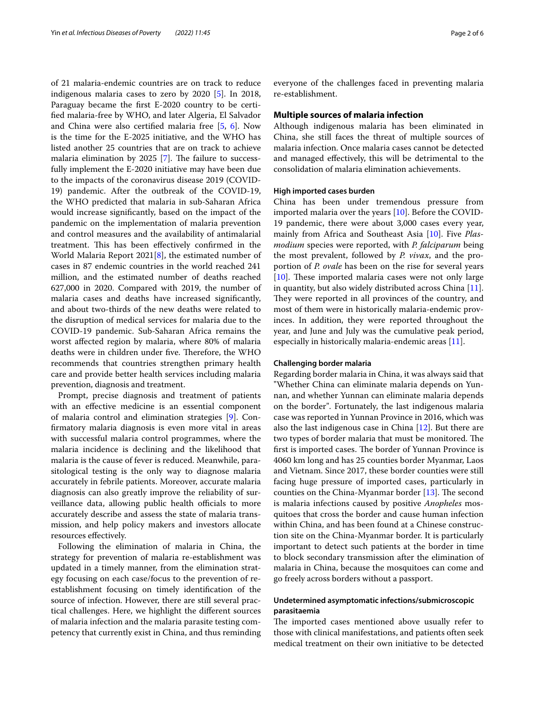of 21 malaria-endemic countries are on track to reduce indigenous malaria cases to zero by 2020 [\[5](#page-4-4)]. In 2018, Paraguay became the frst E-2020 country to be certifed malaria-free by WHO, and later Algeria, El Salvador and China were also certifed malaria free [\[5](#page-4-4), [6](#page-4-5)]. Now is the time for the E-2025 initiative, and the WHO has listed another 25 countries that are on track to achieve malaria elimination by  $2025$  [[7\]](#page-4-6). The failure to successfully implement the E-2020 initiative may have been due to the impacts of the coronavirus disease 2019 (COVID-19) pandemic. After the outbreak of the COVID-19, the WHO predicted that malaria in sub-Saharan Africa would increase signifcantly, based on the impact of the pandemic on the implementation of malaria prevention and control measures and the availability of antimalarial treatment. This has been effectively confirmed in the World Malaria Report 2021[[8](#page-4-7)], the estimated number of cases in 87 endemic countries in the world reached 241 million, and the estimated number of deaths reached 627,000 in 2020. Compared with 2019, the number of malaria cases and deaths have increased signifcantly, and about two-thirds of the new deaths were related to the disruption of medical services for malaria due to the COVID-19 pandemic. Sub-Saharan Africa remains the worst afected region by malaria, where 80% of malaria deaths were in children under five. Therefore, the WHO recommends that countries strengthen primary health care and provide better health services including malaria prevention, diagnosis and treatment.

Prompt, precise diagnosis and treatment of patients with an efective medicine is an essential component of malaria control and elimination strategies [[9\]](#page-4-8). Confrmatory malaria diagnosis is even more vital in areas with successful malaria control programmes, where the malaria incidence is declining and the likelihood that malaria is the cause of fever is reduced. Meanwhile, parasitological testing is the only way to diagnose malaria accurately in febrile patients. Moreover, accurate malaria diagnosis can also greatly improve the reliability of surveillance data, allowing public health officials to more accurately describe and assess the state of malaria transmission, and help policy makers and investors allocate resources efectively.

Following the elimination of malaria in China, the strategy for prevention of malaria re-establishment was updated in a timely manner, from the elimination strategy focusing on each case/focus to the prevention of reestablishment focusing on timely identifcation of the source of infection. However, there are still several practical challenges. Here, we highlight the diferent sources of malaria infection and the malaria parasite testing competency that currently exist in China, and thus reminding everyone of the challenges faced in preventing malaria re-establishment.

#### **Multiple sources of malaria infection**

Although indigenous malaria has been eliminated in China, she still faces the threat of multiple sources of malaria infection. Once malaria cases cannot be detected and managed efectively, this will be detrimental to the consolidation of malaria elimination achievements.

#### **High imported cases burden**

China has been under tremendous pressure from imported malaria over the years [[10\]](#page-4-9). Before the COVID-19 pandemic, there were about 3,000 cases every year, mainly from Africa and Southeast Asia [\[10](#page-4-9)]. Five *Plasmodium* species were reported, with *P. falciparum* being the most prevalent, followed by *P. vivax*, and the proportion of *P. ovale* has been on the rise for several years  $[10]$  $[10]$ . These imported malaria cases were not only large in quantity, but also widely distributed across China [\[11](#page-4-10)]. They were reported in all provinces of the country, and most of them were in historically malaria-endemic provinces. In addition, they were reported throughout the year, and June and July was the cumulative peak period, especially in historically malaria-endemic areas [[11](#page-4-10)].

#### **Challenging border malaria**

Regarding border malaria in China, it was always said that "Whether China can eliminate malaria depends on Yunnan, and whether Yunnan can eliminate malaria depends on the border". Fortunately, the last indigenous malaria case was reported in Yunnan Province in 2016, which was also the last indigenous case in China [\[12](#page-4-11)]. But there are two types of border malaria that must be monitored. The first is imported cases. The border of Yunnan Province is 4060 km long and has 25 counties border Myanmar, Laos and Vietnam. Since 2017, these border counties were still facing huge pressure of imported cases, particularly in counties on the China-Myanmar border  $[13]$  $[13]$ . The second is malaria infections caused by positive *Anopheles* mosquitoes that cross the border and cause human infection within China, and has been found at a Chinese construction site on the China-Myanmar border. It is particularly important to detect such patients at the border in time to block secondary transmission after the elimination of malaria in China, because the mosquitoes can come and go freely across borders without a passport.

# **Undetermined asymptomatic infections/submicroscopic parasitaemia**

The imported cases mentioned above usually refer to those with clinical manifestations, and patients often seek medical treatment on their own initiative to be detected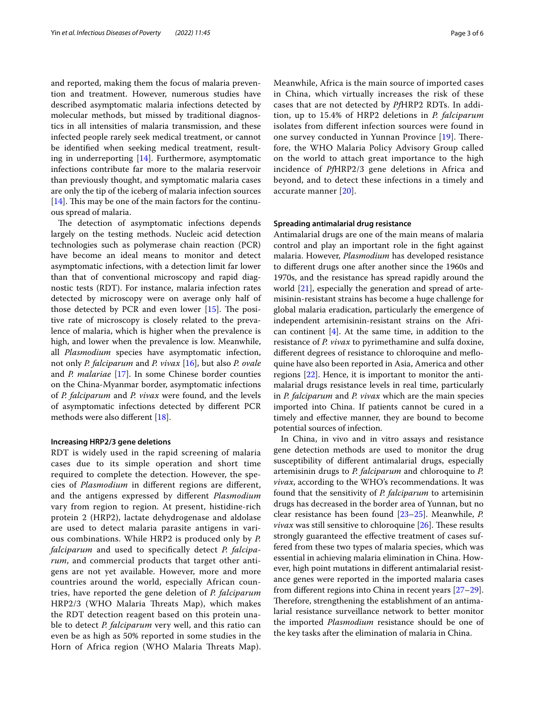and reported, making them the focus of malaria prevention and treatment. However, numerous studies have described asymptomatic malaria infections detected by molecular methods, but missed by traditional diagnostics in all intensities of malaria transmission, and these infected people rarely seek medical treatment, or cannot be identifed when seeking medical treatment, resulting in underreporting [\[14](#page-5-0)]. Furthermore, asymptomatic infections contribute far more to the malaria reservoir than previously thought, and symptomatic malaria cases are only the tip of the iceberg of malaria infection sources [ $14$ ]. This may be one of the main factors for the continuous spread of malaria.

The detection of asymptomatic infections depends largely on the testing methods. Nucleic acid detection technologies such as polymerase chain reaction (PCR) have become an ideal means to monitor and detect asymptomatic infections, with a detection limit far lower than that of conventional microscopy and rapid diagnostic tests (RDT). For instance, malaria infection rates detected by microscopy were on average only half of those detected by PCR and even lower  $[15]$ . The positive rate of microscopy is closely related to the prevalence of malaria, which is higher when the prevalence is high, and lower when the prevalence is low. Meanwhile, all *Plasmodium* species have asymptomatic infection, not only *P. falciparum* and *P. vivax* [[16](#page-5-2)], but also *P. ovale* and *P. malariae* [[17](#page-5-3)]. In some Chinese border counties on the China-Myanmar border, asymptomatic infections of *P. falciparum* and *P. vivax* were found, and the levels of asymptomatic infections detected by diferent PCR methods were also diferent [\[18](#page-5-4)].

#### **Increasing HRP2/3 gene deletions**

RDT is widely used in the rapid screening of malaria cases due to its simple operation and short time required to complete the detection. However, the species of *Plasmodium* in diferent regions are diferent, and the antigens expressed by diferent *Plasmodium* vary from region to region. At present, histidine-rich protein 2 (HRP2), lactate dehydrogenase and aldolase are used to detect malaria parasite antigens in various combinations. While HRP2 is produced only by *P. falciparum* and used to specifcally detect *P. falciparum*, and commercial products that target other antigens are not yet available. However, more and more countries around the world, especially African countries, have reported the gene deletion of *P. falciparum* HRP2/3 (WHO Malaria Threats Map), which makes the RDT detection reagent based on this protein unable to detect *P. falciparum* very well, and this ratio can even be as high as 50% reported in some studies in the Horn of Africa region (WHO Malaria Threats Map). Meanwhile, Africa is the main source of imported cases in China, which virtually increases the risk of these cases that are not detected by *Pf*HRP2 RDTs. In addition, up to 15.4% of HRP2 deletions in *P. falciparum* isolates from diferent infection sources were found in one survey conducted in Yunnan Province [[19](#page-5-5)]. Therefore, the WHO Malaria Policy Advisory Group called on the world to attach great importance to the high incidence of *Pf*HRP2/3 gene deletions in Africa and beyond, and to detect these infections in a timely and accurate manner [[20](#page-5-6)].

## **Spreading antimalarial drug resistance**

Antimalarial drugs are one of the main means of malaria control and play an important role in the fght against malaria. However, *Plasmodium* has developed resistance to diferent drugs one after another since the 1960s and 1970s, and the resistance has spread rapidly around the world [[21\]](#page-5-7), especially the generation and spread of artemisinin-resistant strains has become a huge challenge for global malaria eradication, particularly the emergence of independent artemisinin-resistant strains on the African continent [\[4](#page-4-3)]. At the same time, in addition to the resistance of *P. vivax* to pyrimethamine and sulfa doxine, diferent degrees of resistance to chloroquine and mefoquine have also been reported in Asia, America and other regions [\[22](#page-5-8)]. Hence, it is important to monitor the antimalarial drugs resistance levels in real time, particularly in *P. falciparum* and *P. vivax* which are the main species imported into China. If patients cannot be cured in a timely and efective manner, they are bound to become potential sources of infection.

In China, in vivo and in vitro assays and resistance gene detection methods are used to monitor the drug susceptibility of diferent antimalarial drugs, especially artemisinin drugs to *P. falciparum* and chloroquine to *P. vivax*, according to the WHO's recommendations. It was found that the sensitivity of *P. falciparum* to artemisinin drugs has decreased in the border area of Yunnan, but no clear resistance has been found [\[23](#page-5-9)[–25](#page-5-10)]. Meanwhile, *P. vivax* was still sensitive to chloroquine [[26](#page-5-11)]. These results strongly guaranteed the efective treatment of cases suffered from these two types of malaria species, which was essential in achieving malaria elimination in China. However, high point mutations in diferent antimalarial resistance genes were reported in the imported malaria cases from diferent regions into China in recent years [[27](#page-5-12)[–29](#page-5-13)]. Therefore, strengthening the establishment of an antimalarial resistance surveillance network to better monitor the imported *Plasmodium* resistance should be one of the key tasks after the elimination of malaria in China.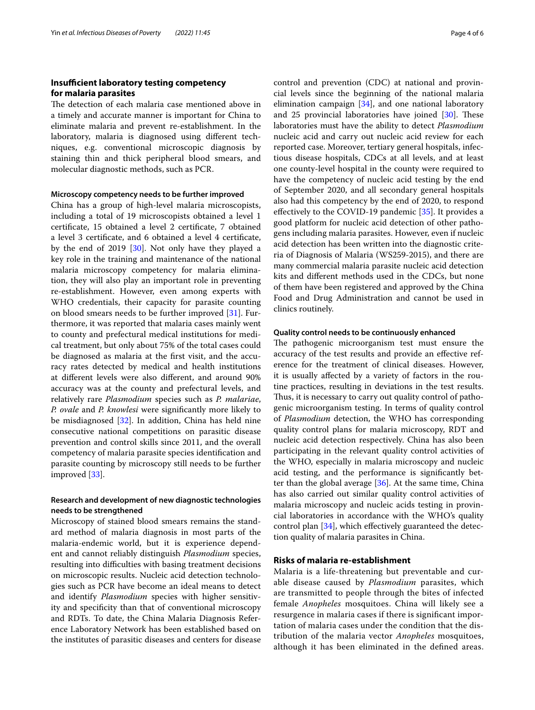# **Insufficient laboratory testing competency for malaria parasites**

The detection of each malaria case mentioned above in a timely and accurate manner is important for China to eliminate malaria and prevent re-establishment. In the laboratory, malaria is diagnosed using diferent techniques, e.g. conventional microscopic diagnosis by staining thin and thick peripheral blood smears, and molecular diagnostic methods, such as PCR.

## **Microscopy competency needs to be further improved**

China has a group of high-level malaria microscopists, including a total of 19 microscopists obtained a level 1 certifcate, 15 obtained a level 2 certifcate, 7 obtained a level 3 certifcate, and 6 obtained a level 4 certifcate, by the end of 2019 [[30\]](#page-5-14). Not only have they played a key role in the training and maintenance of the national malaria microscopy competency for malaria elimination, they will also play an important role in preventing re-establishment. However, even among experts with WHO credentials, their capacity for parasite counting on blood smears needs to be further improved [\[31\]](#page-5-15). Furthermore, it was reported that malaria cases mainly went to county and prefectural medical institutions for medical treatment, but only about 75% of the total cases could be diagnosed as malaria at the frst visit, and the accuracy rates detected by medical and health institutions at diferent levels were also diferent, and around 90% accuracy was at the county and prefectural levels, and relatively rare *Plasmodium* species such as *P. malariae*, *P. ovale* and *P. knowlesi* were signifcantly more likely to be misdiagnosed [[32](#page-5-16)]. In addition, China has held nine consecutive national competitions on parasitic disease prevention and control skills since 2011, and the overall competency of malaria parasite species identifcation and parasite counting by microscopy still needs to be further improved [\[33](#page-5-17)].

# **Research and development of new diagnostic technologies needs to be strengthened**

Microscopy of stained blood smears remains the standard method of malaria diagnosis in most parts of the malaria-endemic world, but it is experience dependent and cannot reliably distinguish *Plasmodium* species, resulting into difficulties with basing treatment decisions on microscopic results. Nucleic acid detection technologies such as PCR have become an ideal means to detect and identify *Plasmodium* species with higher sensitivity and specifcity than that of conventional microscopy and RDTs. To date, the China Malaria Diagnosis Reference Laboratory Network has been established based on the institutes of parasitic diseases and centers for disease control and prevention (CDC) at national and provincial levels since the beginning of the national malaria elimination campaign [\[34\]](#page-5-18), and one national laboratory and 25 provincial laboratories have joined  $[30]$  $[30]$ . These laboratories must have the ability to detect *Plasmodium* nucleic acid and carry out nucleic acid review for each reported case. Moreover, tertiary general hospitals, infectious disease hospitals, CDCs at all levels, and at least one county-level hospital in the county were required to have the competency of nucleic acid testing by the end of September 2020, and all secondary general hospitals also had this competency by the end of 2020, to respond efectively to the COVID-19 pandemic [\[35](#page-5-19)]. It provides a good platform for nucleic acid detection of other pathogens including malaria parasites. However, even if nucleic acid detection has been written into the diagnostic criteria of Diagnosis of Malaria (WS259-2015), and there are many commercial malaria parasite nucleic acid detection kits and diferent methods used in the CDCs, but none of them have been registered and approved by the China Food and Drug Administration and cannot be used in clinics routinely.

#### **Quality control needs to be continuously enhanced**

The pathogenic microorganism test must ensure the accuracy of the test results and provide an efective reference for the treatment of clinical diseases. However, it is usually afected by a variety of factors in the routine practices, resulting in deviations in the test results. Thus, it is necessary to carry out quality control of pathogenic microorganism testing. In terms of quality control of *Plasmodium* detection, the WHO has corresponding quality control plans for malaria microscopy, RDT and nucleic acid detection respectively. China has also been participating in the relevant quality control activities of the WHO, especially in malaria microscopy and nucleic acid testing, and the performance is signifcantly better than the global average [\[36\]](#page-5-20). At the same time, China has also carried out similar quality control activities of malaria microscopy and nucleic acids testing in provincial laboratories in accordance with the WHO's quality control plan [\[34](#page-5-18)], which efectively guaranteed the detection quality of malaria parasites in China.

#### **Risks of malaria re‑establishment**

Malaria is a life-threatening but preventable and curable disease caused by *Plasmodium* parasites, which are transmitted to people through the bites of infected female *Anopheles* mosquitoes. China will likely see a resurgence in malaria cases if there is signifcant importation of malaria cases under the condition that the distribution of the malaria vector *Anopheles* mosquitoes, although it has been eliminated in the defned areas.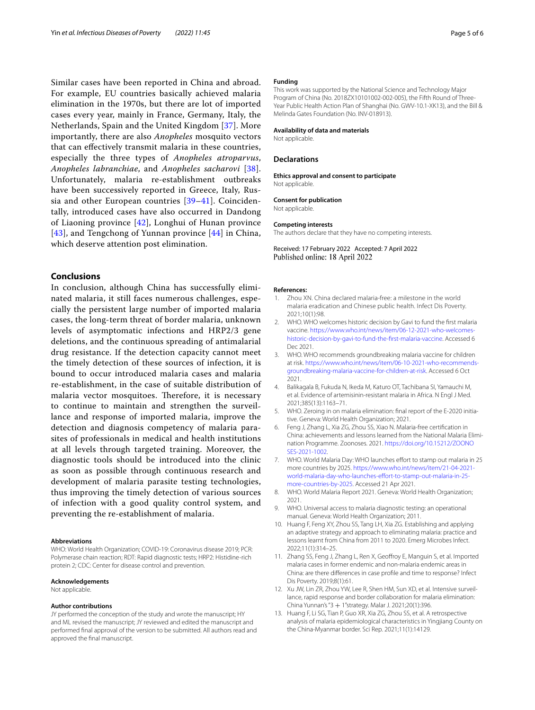Similar cases have been reported in China and abroad. For example, EU countries basically achieved malaria elimination in the 1970s, but there are lot of imported cases every year, mainly in France, Germany, Italy, the Netherlands, Spain and the United Kingdom [[37\]](#page-5-21). More importantly, there are also *Anopheles* mosquito vectors that can efectively transmit malaria in these countries, especially the three types of *Anopheles atroparvus*, *Anopheles labranchiae*, and *Anopheles sacharovi* [[38\]](#page-5-22). Unfortunately, malaria re-establishment outbreaks have been successively reported in Greece, Italy, Russia and other European countries [[39–](#page-5-23)[41](#page-5-24)]. Coincidentally, introduced cases have also occurred in Dandong of Liaoning province [\[42\]](#page-5-25), Longhui of Hunan province [[43](#page-5-26)], and Tengchong of Yunnan province [\[44](#page-5-27)] in China, which deserve attention post elimination.

## **Conclusions**

In conclusion, although China has successfully eliminated malaria, it still faces numerous challenges, especially the persistent large number of imported malaria cases, the long-term threat of border malaria, unknown levels of asymptomatic infections and HRP2/3 gene deletions, and the continuous spreading of antimalarial drug resistance. If the detection capacity cannot meet the timely detection of these sources of infection, it is bound to occur introduced malaria cases and malaria re-establishment, in the case of suitable distribution of malaria vector mosquitoes. Therefore, it is necessary to continue to maintain and strengthen the surveillance and response of imported malaria, improve the detection and diagnosis competency of malaria parasites of professionals in medical and health institutions at all levels through targeted training. Moreover, the diagnostic tools should be introduced into the clinic as soon as possible through continuous research and development of malaria parasite testing technologies, thus improving the timely detection of various sources of infection with a good quality control system, and preventing the re-establishment of malaria.

#### **Abbreviations**

WHO: World Health Organization; COVID-19: Coronavirus disease 2019; PCR: Polymerase chain reaction; RDT: Rapid diagnostic tests; HRP2: Histidine-rich protein 2; CDC: Center for disease control and prevention.

#### **Acknowledgements**

Not applicable.

#### **Author contributions**

JY performed the conception of the study and wrote the manuscript; HY and ML revised the manuscript; JY reviewed and edited the manuscript and performed fnal approval of the version to be submitted. All authors read and approved the fnal manuscript.

#### **Funding**

This work was supported by the National Science and Technology Major Program of China (No. 2018ZX10101002-002-005), the Fifth Round of Three-Year Public Health Action Plan of Shanghai (No. GWV-10.1-XK13), and the Bill & Melinda Gates Foundation (No. INV-018913).

#### **Availability of data and materials**

Not applicable.

#### **Declarations**

**Ethics approval and consent to participate** Not applicable.

#### **Consent for publication**

Not applicable.

#### **Competing interests**

The authors declare that they have no competing interests.

Received: 17 February 2022 Accepted: 7 April 2022 Published online: 18 April 2022

#### **References:**

- <span id="page-4-0"></span>1. Zhou XN. China declared malaria-free: a milestone in the world malaria eradication and Chinese public health. Infect Dis Poverty. 2021;10(1):98.
- <span id="page-4-1"></span>2. WHO. WHO welcomes historic decision by Gavi to fund the frst malaria vaccine. [https://www.who.int/news/item/06-12-2021-who-welcomes](https://www.who.int/news/item/06-12-2021-who-welcomes-historic-decision-by-gavi-to-fund-the-first-malaria-vaccine)[historic-decision-by-gavi-to-fund-the-frst-malaria-vaccine.](https://www.who.int/news/item/06-12-2021-who-welcomes-historic-decision-by-gavi-to-fund-the-first-malaria-vaccine) Accessed 6 Dec 2021.
- <span id="page-4-2"></span>3. WHO. WHO recommends groundbreaking malaria vaccine for children at risk. [https://www.who.int/news/item/06-10-2021-who-recommends](https://www.who.int/news/item/06-10-2021-who-recommends-groundbreaking-malaria-vaccine-for-children-at-risk)[groundbreaking-malaria-vaccine-for-children-at-risk](https://www.who.int/news/item/06-10-2021-who-recommends-groundbreaking-malaria-vaccine-for-children-at-risk). Accessed 6 Oct 2021.
- <span id="page-4-3"></span>4. Balikagala B, Fukuda N, Ikeda M, Katuro OT, Tachibana SI, Yamauchi M, et al. Evidence of artemisinin-resistant malaria in Africa. N Engl J Med. 2021;385(13):1163–71.
- <span id="page-4-4"></span>5. WHO. Zeroing in on malaria elimination: fnal report of the E-2020 initiative. Geneva: World Health Organization; 2021.
- <span id="page-4-5"></span>6. Feng J, Zhang L, Xia ZG, Zhou SS, Xiao N. Malaria-free certifcation in China: achievements and lessons learned from the National Malaria Elimination Programme. Zoonoses. 2021. [https://doi.org/10.15212/ZOONO](https://doi.org/10.15212/ZOONOSES-2021-1002) [SES-2021-1002.](https://doi.org/10.15212/ZOONOSES-2021-1002)
- <span id="page-4-6"></span>7. WHO. World Malaria Day: WHO launches effort to stamp out malaria in 25 more countries by 2025. [https://www.who.int/news/item/21-04-2021](https://www.who.int/news/item/21-04-2021-world-malaria-day-who-launches-effort-to-stamp-out-malaria-in-25-more-countries-by-2025) world-malaria-day-who-launches-effort-to-stamp-out-malaria-in-25[more-countries-by-2025.](https://www.who.int/news/item/21-04-2021-world-malaria-day-who-launches-effort-to-stamp-out-malaria-in-25-more-countries-by-2025) Accessed 21 Apr 2021.
- <span id="page-4-7"></span>8. WHO. World Malaria Report 2021. Geneva: World Health Organization; 2021.
- <span id="page-4-8"></span>9. WHO. Universal access to malaria diagnostic testing: an operational manual. Geneva: World Health Organization; 2011.
- <span id="page-4-9"></span>10. Huang F, Feng XY, Zhou SS, Tang LH, Xia ZG. Establishing and applying an adaptive strategy and approach to eliminating malaria: practice and lessons learnt from China from 2011 to 2020. Emerg Microbes Infect. 2022;11(1):314–25.
- <span id="page-4-10"></span>11. Zhang SS, Feng J, Zhang L, Ren X, Geofroy E, Manguin S, et al. Imported malaria cases in former endemic and non-malaria endemic areas in China: are there diferences in case profle and time to response? Infect Dis Poverty. 2019;8(1):61.
- <span id="page-4-11"></span>12. Xu JW, Lin ZR, Zhou YW, Lee R, Shen HM, Sun XD, et al. Intensive surveillance, rapid response and border collaboration for malaria elimination: China Yunnan's "3 + 1"strategy. Malar J. 2021;20(1):396.
- <span id="page-4-12"></span>13. Huang F, Li SG, Tian P, Guo XR, Xia ZG, Zhou SS, et al. A retrospective analysis of malaria epidemiological characteristics in Yingjiang County on the China-Myanmar border. Sci Rep. 2021;11(1):14129.